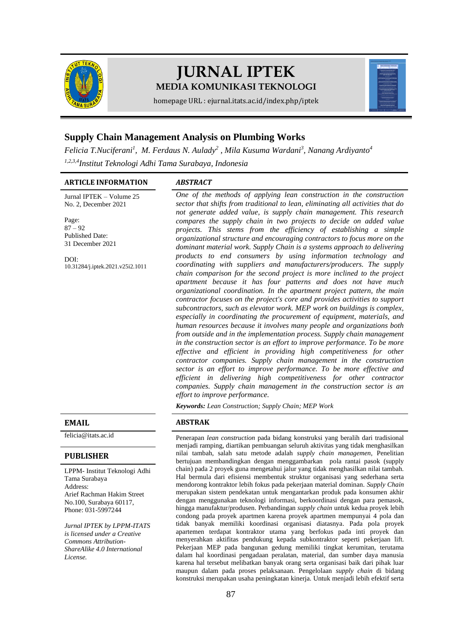

# **JURNAL IPTEK MEDIA KOMUNIKASI TEKNOLOGI**



homepage URL : ejurnal.itats.ac.id/index.php/iptek

## **Supply Chain Management Analysis on Plumbing Works**

Felicia T.Nuciferani<sup>1</sup>, M. Ferdaus N. Aulady<sup>2</sup>, Mila Kusuma Wardani<sup>3</sup>, Nanang Ardiyanto<sup>4</sup> *1,2,3,4Institut Teknologi Adhi Tama Surabaya, Indonesia*

#### **ARTICLE INFORMATION** *ABSTRACT*

Jurnal IPTEK – Volume 25 No. 2, December 2021

Page:  $87 - 92$ Published Date: 31 December 2021

DOI: [10.31284/j.iptek.2021.v25i2.1011](https://doi.org/10.31284/j.iptek.2021.v25i2.1011)

#### **PUBLISHER**

LPPM- Institut Teknologi Adhi Tama Surabaya Address: Arief Rachman Hakim Street No.100, Surabaya 60117, Phone: 031-5997244

*Jurnal IPTEK by LPPM-ITATS is licensed under a Creative Commons Attribution-ShareAlike 4.0 International License.*

*One of the methods of applying lean construction in the construction sector that shifts from traditional to lean, eliminating all activities that do not generate added value, is supply chain management. This research compares the supply chain in two projects to decide on added value projects. This stems from the efficiency of establishing a simple organizational structure and encouraging contractors to focus more on the dominant material work. Supply Chain is a systems approach to delivering products to end consumers by using information technology and coordinating with suppliers and manufacturers/producers. The supply chain comparison for the second project is more inclined to the project apartment because it has four patterns and does not have much organizational coordination. In the apartment project pattern, the main contractor focuses on the project's core and provides activities to support subcontractors, such as elevator work. MEP work on buildings is complex, especially in coordinating the procurement of equipment, materials, and human resources because it involves many people and organizations both from outside and in the implementation process. Supply chain management in the construction sector is an effort to improve performance. To be more effective and efficient in providing high competitiveness for other contractor companies. Supply chain management in the construction sector is an effort to improve performance. To be more effective and efficient in delivering high competitiveness for other contractor companies. Supply chain management in the construction sector is an effort to improve performance.*

*Keywords: Lean Construction; Supply Chain; MEP Work*

#### **EMAIL ABSTRAK**

[felicia@itats.ac.id](mailto:felicia@itats.ac.id) Penerapan *lean construction* pada bidang konstruksi yang beralih dari tradisional menjadi ramping, diartikan pembuangan seluruh aktivitas yang tidak menghasilkan nilai tambah, salah satu metode adalah *supply chain managemen*, Penelitian bertujuan membandingkan dengan menggambarkan pola rantai pasok (supply chain) pada 2 proyek guna mengetahui jalur yang tidak menghasilkan nilai tambah. Hal bermula dari efisiensi membentuk struktur organisasi yang sederhana serta mendorong kontraktor lebih fokus pada pekerjaan material dominan. *Supply Chain* merupakan sistem pendekatan untuk mengantarkan produk pada konsumen akhir dengan menggunakan teknologi informasi, berkoordinasi dengan para pemasok, hingga manufaktur/produsen. Perbandingan *supply chain* untuk kedua proyek lebih condong pada proyek apartmen karena proyek apartmen mempunyai 4 pola dan tidak banyak memiliki koordinasi organisasi diatasnya. Pada pola proyek apartemen terdapat kontraktor utama yang berfokus pada inti proyek dan menyerahkan aktifitas pendukung kepada subkontraktor seperti pekerjaan lift. Pekerjaan MEP pada bangunan gedung memiliki tingkat kerumitan, terutama dalam hal koordinasi pengadaan peralatan, material, dan sumber daya manusia karena hal tersebut melibatkan banyak orang serta organisasi baik dari pihak luar maupun dalam pada proses pelaksanaan. Pengelolaan *supply chain* di bidang konstruksi merupakan usaha peningkatan kinerja. Untuk menjadi lebih efektif serta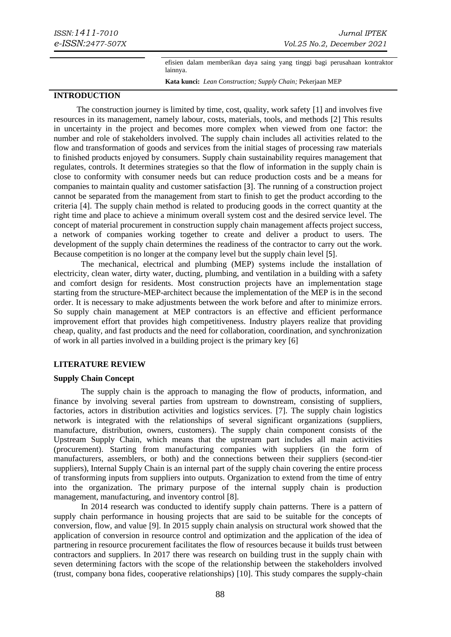efisien dalam memberikan daya saing yang tinggi bagi perusahaan kontraktor lainnya.

**Kata kunci:** *Lean Construction; Supply Chain;* Pekerjaan MEP

#### **INTRODUCTION**

The construction journey is limited by time, cost, quality, work safety [1] and involves five resources in its management, namely labour, costs, materials, tools, and methods [2] This results in uncertainty in the project and becomes more complex when viewed from one factor: the number and role of stakeholders involved. The supply chain includes all activities related to the flow and transformation of goods and services from the initial stages of processing raw materials to finished products enjoyed by consumers. Supply chain sustainability requires management that regulates, controls. It determines strategies so that the flow of information in the supply chain is close to conformity with consumer needs but can reduce production costs and be a means for companies to maintain quality and customer satisfaction [3]. The running of a construction project cannot be separated from the management from start to finish to get the product according to the criteria [4]. The supply chain method is related to producing goods in the correct quantity at the right time and place to achieve a minimum overall system cost and the desired service level. The concept of material procurement in construction supply chain management affects project success, a network of companies working together to create and deliver a product to users. The development of the supply chain determines the readiness of the contractor to carry out the work. Because competition is no longer at the company level but the supply chain level [5].

The mechanical, electrical and plumbing (MEP) systems include the installation of electricity, clean water, dirty water, ducting, plumbing, and ventilation in a building with a safety and comfort design for residents. Most construction projects have an implementation stage starting from the structure-MEP-architect because the implementation of the MEP is in the second order. It is necessary to make adjustments between the work before and after to minimize errors. So supply chain management at MEP contractors is an effective and efficient performance improvement effort that provides high competitiveness. Industry players realize that providing cheap, quality, and fast products and the need for collaboration, coordination, and synchronization of work in all parties involved in a building project is the primary key [6]

#### **LITERATURE REVIEW**

#### **Supply Chain Concept**

The supply chain is the approach to managing the flow of products, information, and finance by involving several parties from upstream to downstream, consisting of suppliers, factories, actors in distribution activities and logistics services. [7]. The supply chain logistics network is integrated with the relationships of several significant organizations (suppliers, manufacture, distribution, owners, customers). The supply chain component consists of the Upstream Supply Chain, which means that the upstream part includes all main activities (procurement). Starting from manufacturing companies with suppliers (in the form of manufacturers, assemblers, or both) and the connections between their suppliers (second-tier suppliers), Internal Supply Chain is an internal part of the supply chain covering the entire process of transforming inputs from suppliers into outputs. Organization to extend from the time of entry into the organization. The primary purpose of the internal supply chain is production management, manufacturing, and inventory control [8].

In 2014 research was conducted to identify supply chain patterns. There is a pattern of supply chain performance in housing projects that are said to be suitable for the concepts of conversion, flow, and value [9]. In 2015 supply chain analysis on structural work showed that the application of conversion in resource control and optimization and the application of the idea of partnering in resource procurement facilitates the flow of resources because it builds trust between contractors and suppliers. In 2017 there was research on building trust in the supply chain with seven determining factors with the scope of the relationship between the stakeholders involved (trust, company bona fides, cooperative relationships) [10]. This study compares the supply-chain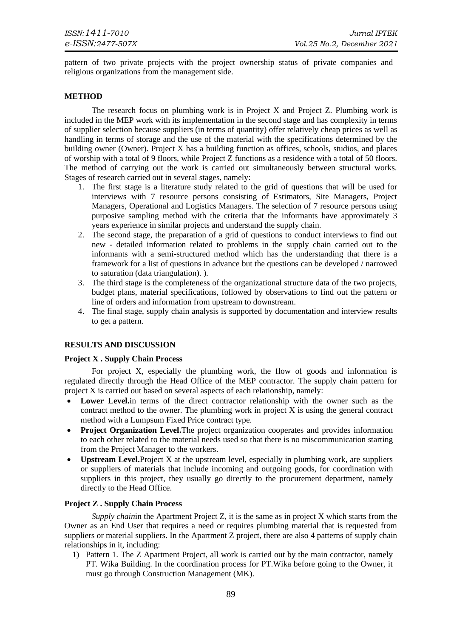pattern of two private projects with the project ownership status of private companies and religious organizations from the management side.

#### **METHOD**

The research focus on plumbing work is in Project X and Project Z. Plumbing work is included in the MEP work with its implementation in the second stage and has complexity in terms of supplier selection because suppliers (in terms of quantity) offer relatively cheap prices as well as handling in terms of storage and the use of the material with the specifications determined by the building owner (Owner). Project X has a building function as offices, schools, studios, and places of worship with a total of 9 floors, while Project Z functions as a residence with a total of 50 floors. The method of carrying out the work is carried out simultaneously between structural works. Stages of research carried out in several stages, namely:

- 1. The first stage is a literature study related to the grid of questions that will be used for interviews with 7 resource persons consisting of Estimators, Site Managers, Project Managers, Operational and Logistics Managers. The selection of 7 resource persons using purposive sampling method with the criteria that the informants have approximately 3 years experience in similar projects and understand the supply chain.
- 2. The second stage, the preparation of a grid of questions to conduct interviews to find out new - detailed information related to problems in the supply chain carried out to the informants with a semi-structured method which has the understanding that there is a framework for a list of questions in advance but the questions can be developed / narrowed to saturation (data triangulation). ).
- 3. The third stage is the completeness of the organizational structure data of the two projects, budget plans, material specifications, followed by observations to find out the pattern or line of orders and information from upstream to downstream.
- 4. The final stage, supply chain analysis is supported by documentation and interview results to get a pattern.

#### **RESULTS AND DISCUSSION**

#### **Project X . Supply Chain Process**

For project X, especially the plumbing work, the flow of goods and information is regulated directly through the Head Office of the MEP contractor. The supply chain pattern for project X is carried out based on several aspects of each relationship, namely:

- **Lower Level.**in terms of the direct contractor relationship with the owner such as the contract method to the owner. The plumbing work in project X is using the general contract method with a Lumpsum Fixed Price contract type.
- **Project Organization Level.**The project organization cooperates and provides information to each other related to the material needs used so that there is no miscommunication starting from the Project Manager to the workers.
- **Upstream Level.**Project X at the upstream level, especially in plumbing work, are suppliers or suppliers of materials that include incoming and outgoing goods, for coordination with suppliers in this project, they usually go directly to the procurement department, namely directly to the Head Office.

#### **Project Z . Supply Chain Process**

*Supply chain*in the Apartment Project Z, it is the same as in project X which starts from the Owner as an End User that requires a need or requires plumbing material that is requested from suppliers or material suppliers. In the Apartment Z project, there are also 4 patterns of supply chain relationships in it, including:

1) Pattern 1. The Z Apartment Project, all work is carried out by the main contractor, namely PT. Wika Building. In the coordination process for PT.Wika before going to the Owner, it must go through Construction Management (MK).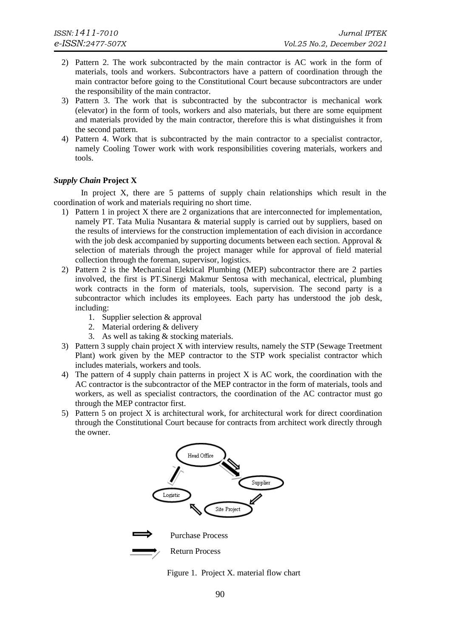- 2) Pattern 2. The work subcontracted by the main contractor is AC work in the form of materials, tools and workers. Subcontractors have a pattern of coordination through the main contractor before going to the Constitutional Court because subcontractors are under the responsibility of the main contractor.
- 3) Pattern 3. The work that is subcontracted by the subcontractor is mechanical work (elevator) in the form of tools, workers and also materials, but there are some equipment and materials provided by the main contractor, therefore this is what distinguishes it from the second pattern.
- 4) Pattern 4. Work that is subcontracted by the main contractor to a specialist contractor, namely Cooling Tower work with work responsibilities covering materials, workers and tools.

#### *Supply Chain* **Project X**

In project X, there are 5 patterns of supply chain relationships which result in the coordination of work and materials requiring no short time.

- 1) Pattern 1 in project X there are 2 organizations that are interconnected for implementation, namely PT. Tata Mulia Nusantara & material supply is carried out by suppliers, based on the results of interviews for the construction implementation of each division in accordance with the job desk accompanied by supporting documents between each section. Approval  $\&$ selection of materials through the project manager while for approval of field material collection through the foreman, supervisor, logistics.
- 2) Pattern 2 is the Mechanical Elektical Plumbing (MEP) subcontractor there are 2 parties involved, the first is PT.Sinergi Makmur Sentosa with mechanical, electrical, plumbing work contracts in the form of materials, tools, supervision. The second party is a subcontractor which includes its employees. Each party has understood the job desk, including:
	- 1. Supplier selection & approval
	- 2. Material ordering & delivery
	- 3. As well as taking & stocking materials.
- 3) Pattern 3 supply chain project X with interview results, namely the STP (Sewage Treetment Plant) work given by the MEP contractor to the STP work specialist contractor which includes materials, workers and tools.
- 4) The pattern of 4 supply chain patterns in project X is AC work, the coordination with the AC contractor is the subcontractor of the MEP contractor in the form of materials, tools and workers, as well as specialist contractors, the coordination of the AC contractor must go through the MEP contractor first.
- 5) Pattern 5 on project X is architectural work, for architectural work for direct coordination through the Constitutional Court because for contracts from architect work directly through the owner.



Figure 1. Project X. material flow chart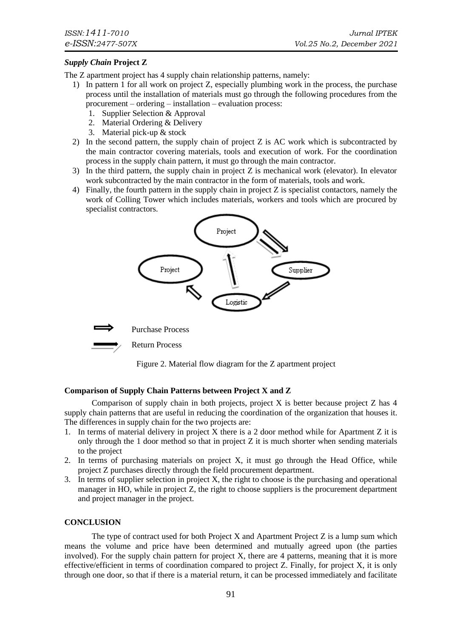### *Supply Chain* **Project Z**

The Z apartment project has 4 supply chain relationship patterns, namely:

- 1) In pattern 1 for all work on project Z, especially plumbing work in the process, the purchase process until the installation of materials must go through the following procedures from the procurement – ordering – installation – evaluation process:
	- 1. Supplier Selection & Approval
	- 2. Material Ordering & Delivery
	- 3. Material pick-up & stock
- 2) In the second pattern, the supply chain of project Z is AC work which is subcontracted by the main contractor covering materials, tools and execution of work. For the coordination process in the supply chain pattern, it must go through the main contractor.
- 3) In the third pattern, the supply chain in project Z is mechanical work (elevator). In elevator work subcontracted by the main contractor in the form of materials, tools and work.
- 4) Finally, the fourth pattern in the supply chain in project Z is specialist contactors, namely the work of Colling Tower which includes materials, workers and tools which are procured by specialist contractors.





Return Process



#### **Comparison of Supply Chain Patterns between Project X and Z**

Comparison of supply chain in both projects, project  $X$  is better because project  $Z$  has  $4$ supply chain patterns that are useful in reducing the coordination of the organization that houses it. The differences in supply chain for the two projects are:

- 1. In terms of material delivery in project X there is a 2 door method while for Apartment Z it is only through the 1 door method so that in project  $Z$  it is much shorter when sending materials to the project
- 2. In terms of purchasing materials on project X, it must go through the Head Office, while project Z purchases directly through the field procurement department.
- 3. In terms of supplier selection in project X, the right to choose is the purchasing and operational manager in HO, while in project Z, the right to choose suppliers is the procurement department and project manager in the project.

#### **CONCLUSION**

The type of contract used for both Project X and Apartment Project Z is a lump sum which means the volume and price have been determined and mutually agreed upon (the parties involved). For the supply chain pattern for project X, there are 4 patterns, meaning that it is more effective/efficient in terms of coordination compared to project Z. Finally, for project X, it is only through one door, so that if there is a material return, it can be processed immediately and facilitate